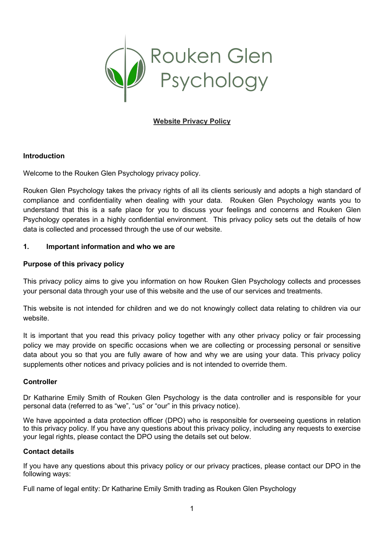

# Website Privacy Policy

### Introduction

Welcome to the Rouken Glen Psychology privacy policy.

Rouken Glen Psychology takes the privacy rights of all its clients seriously and adopts a high standard of compliance and confidentiality when dealing with your data. Rouken Glen Psychology wants you to understand that this is a safe place for you to discuss your feelings and concerns and Rouken Glen Psychology operates in a highly confidential environment. This privacy policy sets out the details of how data is collected and processed through the use of our website.

### 1. Important information and who we are

### Purpose of this privacy policy

This privacy policy aims to give you information on how Rouken Glen Psychology collects and processes your personal data through your use of this website and the use of our services and treatments.

This website is not intended for children and we do not knowingly collect data relating to children via our website.

It is important that you read this privacy policy together with any other privacy policy or fair processing policy we may provide on specific occasions when we are collecting or processing personal or sensitive data about you so that you are fully aware of how and why we are using your data. This privacy policy supplements other notices and privacy policies and is not intended to override them.

### **Controller**

Dr Katharine Emily Smith of Rouken Glen Psychology is the data controller and is responsible for your personal data (referred to as "we", "us" or "our" in this privacy notice).

We have appointed a data protection officer (DPO) who is responsible for overseeing questions in relation to this privacy policy. If you have any questions about this privacy policy, including any requests to exercise your legal rights, please contact the DPO using the details set out below.

### Contact details

If you have any questions about this privacy policy or our privacy practices, please contact our DPO in the following ways:

Full name of legal entity: Dr Katharine Emily Smith trading as Rouken Glen Psychology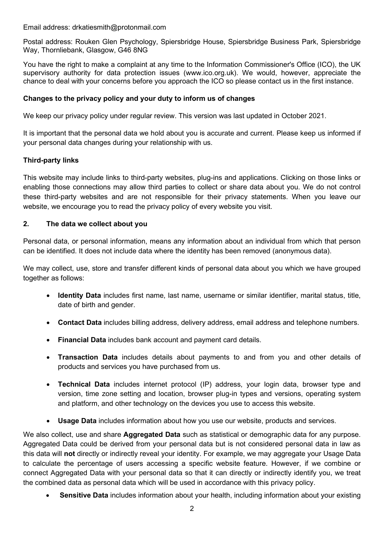### Email address: drkatiesmith@protonmail.com

Postal address: Rouken Glen Psychology, Spiersbridge House, Spiersbridge Business Park, Spiersbridge Way, Thornliebank, Glasgow, G46 8NG

You have the right to make a complaint at any time to the Information Commissioner's Office (ICO), the UK supervisory authority for data protection issues (www.ico.org.uk). We would, however, appreciate the chance to deal with your concerns before you approach the ICO so please contact us in the first instance.

# Changes to the privacy policy and your duty to inform us of changes

We keep our privacy policy under regular review. This version was last updated in October 2021.

It is important that the personal data we hold about you is accurate and current. Please keep us informed if your personal data changes during your relationship with us.

### Third-party links

This website may include links to third-party websites, plug-ins and applications. Clicking on those links or enabling those connections may allow third parties to collect or share data about you. We do not control these third-party websites and are not responsible for their privacy statements. When you leave our website, we encourage you to read the privacy policy of every website you visit.

### 2. The data we collect about you

Personal data, or personal information, means any information about an individual from which that person can be identified. It does not include data where the identity has been removed (anonymous data).

We may collect, use, store and transfer different kinds of personal data about you which we have grouped together as follows:

- Identity Data includes first name, last name, username or similar identifier, marital status, title, date of birth and gender.
- Contact Data includes billing address, delivery address, email address and telephone numbers.
- Financial Data includes bank account and payment card details.
- Transaction Data includes details about payments to and from you and other details of products and services you have purchased from us.
- Technical Data includes internet protocol (IP) address, your login data, browser type and version, time zone setting and location, browser plug-in types and versions, operating system and platform, and other technology on the devices you use to access this website.
- Usage Data includes information about how you use our website, products and services.

We also collect, use and share **Aggregated Data** such as statistical or demographic data for any purpose. Aggregated Data could be derived from your personal data but is not considered personal data in law as this data will not directly or indirectly reveal your identity. For example, we may aggregate your Usage Data to calculate the percentage of users accessing a specific website feature. However, if we combine or connect Aggregated Data with your personal data so that it can directly or indirectly identify you, we treat the combined data as personal data which will be used in accordance with this privacy policy.

Sensitive Data includes information about your health, including information about your existing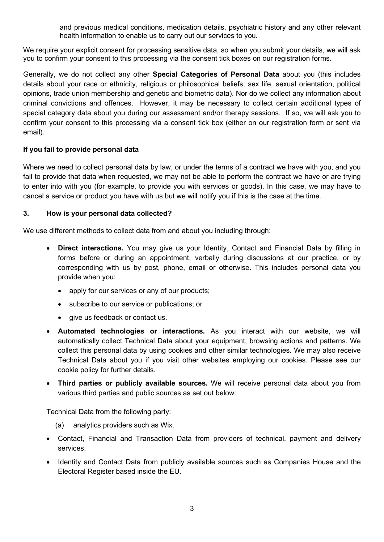and previous medical conditions, medication details, psychiatric history and any other relevant health information to enable us to carry out our services to you.

We require your explicit consent for processing sensitive data, so when you submit your details, we will ask you to confirm your consent to this processing via the consent tick boxes on our registration forms.

Generally, we do not collect any other Special Categories of Personal Data about you (this includes details about your race or ethnicity, religious or philosophical beliefs, sex life, sexual orientation, political opinions, trade union membership and genetic and biometric data). Nor do we collect any information about criminal convictions and offences. However, it may be necessary to collect certain additional types of special category data about you during our assessment and/or therapy sessions. If so, we will ask you to confirm your consent to this processing via a consent tick box (either on our registration form or sent via email).

# If you fail to provide personal data

Where we need to collect personal data by law, or under the terms of a contract we have with you, and you fail to provide that data when requested, we may not be able to perform the contract we have or are trying to enter into with you (for example, to provide you with services or goods). In this case, we may have to cancel a service or product you have with us but we will notify you if this is the case at the time.

### 3. How is your personal data collected?

We use different methods to collect data from and about you including through:

- Direct interactions. You may give us your Identity, Contact and Financial Data by filling in forms before or during an appointment, verbally during discussions at our practice, or by corresponding with us by post, phone, email or otherwise. This includes personal data you provide when you:
	- apply for our services or any of our products;
	- subscribe to our service or publications; or
	- give us feedback or contact us.
- Automated technologies or interactions. As you interact with our website, we will automatically collect Technical Data about your equipment, browsing actions and patterns. We collect this personal data by using cookies and other similar technologies. We may also receive Technical Data about you if you visit other websites employing our cookies. Please see our cookie policy for further details.
- Third parties or publicly available sources. We will receive personal data about you from various third parties and public sources as set out below:

Technical Data from the following party:

- (a) analytics providers such as Wix.
- Contact, Financial and Transaction Data from providers of technical, payment and delivery services.
- Identity and Contact Data from publicly available sources such as Companies House and the Electoral Register based inside the EU.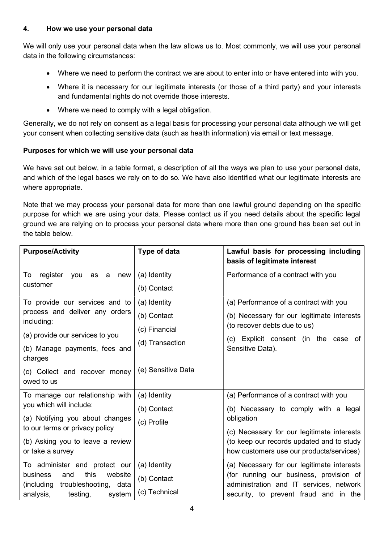# 4. How we use your personal data

We will only use your personal data when the law allows us to. Most commonly, we will use your personal data in the following circumstances:

- Where we need to perform the contract we are about to enter into or have entered into with you.
- Where it is necessary for our legitimate interests (or those of a third party) and your interests and fundamental rights do not override those interests.
- Where we need to comply with a legal obligation.

Generally, we do not rely on consent as a legal basis for processing your personal data although we will get your consent when collecting sensitive data (such as health information) via email or text message.

### Purposes for which we will use your personal data

We have set out below, in a table format, a description of all the ways we plan to use your personal data, and which of the legal bases we rely on to do so. We have also identified what our legitimate interests are where appropriate.

Note that we may process your personal data for more than one lawful ground depending on the specific purpose for which we are using your data. Please contact us if you need details about the specific legal ground we are relying on to process your personal data where more than one ground has been set out in the table below.

| <b>Purpose/Activity</b>                                                        | Type of data       | Lawful basis for processing including<br>basis of legitimate interest                 |
|--------------------------------------------------------------------------------|--------------------|---------------------------------------------------------------------------------------|
| register<br>To<br>you<br>as<br>a<br>new<br>customer                            | (a) Identity       | Performance of a contract with you                                                    |
|                                                                                | (b) Contact        |                                                                                       |
| To provide our services and to<br>process and deliver any orders<br>including: | (a) Identity       | (a) Performance of a contract with you                                                |
|                                                                                | (b) Contact        | (b) Necessary for our legitimate interests                                            |
|                                                                                | (c) Financial      | (to recover debts due to us)                                                          |
| (a) provide our services to you                                                | (d) Transaction    | (c) Explicit consent (in the case of                                                  |
| (b) Manage payments, fees and<br>charges                                       |                    | Sensitive Data).                                                                      |
| (c) Collect and recover money                                                  | (e) Sensitive Data |                                                                                       |
| owed to us                                                                     |                    |                                                                                       |
| To manage our relationship with                                                | (a) Identity       | (a) Performance of a contract with you                                                |
| you which will include:                                                        | (b) Contact        | (b) Necessary to comply with a legal                                                  |
| (a) Notifying you about changes<br>to our terms or privacy policy              | (c) Profile        | obligation                                                                            |
|                                                                                |                    | (c) Necessary for our legitimate interests                                            |
| (b) Asking you to leave a review<br>or take a survey                           |                    | (to keep our records updated and to study<br>how customers use our products/services) |
| To administer and protect our                                                  | (a) Identity       | (a) Necessary for our legitimate interests                                            |
| business<br>this<br>website<br>and                                             | (b) Contact        | (for running our business, provision of                                               |
| troubleshooting, data<br>(including<br>analysis,<br>testing,<br>system         | (c) Technical      | administration and IT services, network<br>security, to prevent fraud and in the      |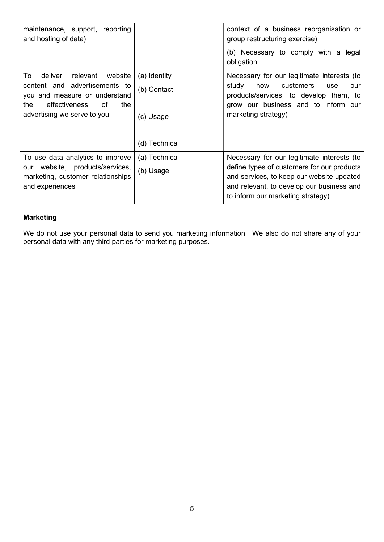| maintenance, support, reporting<br>and hosting of data)                 |               | context of a business reorganisation or<br>group restructuring exercise)          |
|-------------------------------------------------------------------------|---------------|-----------------------------------------------------------------------------------|
|                                                                         |               | (b) Necessary to comply with a<br>legal<br>obligation                             |
| To<br>relevant<br>deliver<br>website                                    | (a) Identity  | Necessary for our legitimate interests (to                                        |
| content and advertisements to<br>you and measure or understand          | (b) Contact   | study<br>how<br>customers<br>use<br>our<br>products/services, to develop them, to |
| effectiveness<br>the<br>of<br>the                                       |               | grow our business and to inform our                                               |
| advertising we serve to you                                             | (c) Usage     | marketing strategy)                                                               |
|                                                                         |               |                                                                                   |
|                                                                         | (d) Technical |                                                                                   |
| To use data analytics to improve                                        | (a) Technical | Necessary for our legitimate interests (to                                        |
| website, products/services,<br>our<br>marketing, customer relationships | (b) Usage     | define types of customers for our products                                        |
|                                                                         |               | and services, to keep our website updated                                         |
| and experiences                                                         |               | and relevant, to develop our business and<br>to inform our marketing strategy)    |
|                                                                         |               |                                                                                   |

# Marketing

We do not use your personal data to send you marketing information. We also do not share any of your personal data with any third parties for marketing purposes.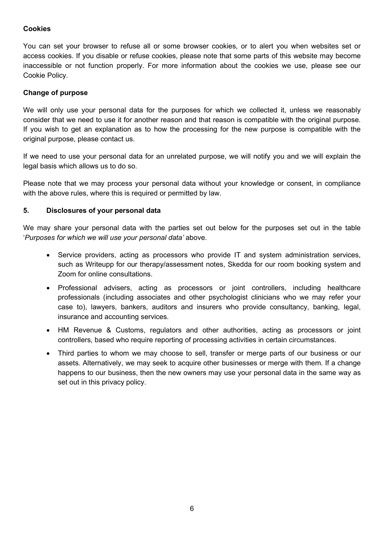# Cookies

You can set your browser to refuse all or some browser cookies, or to alert you when websites set or access cookies. If you disable or refuse cookies, please note that some parts of this website may become inaccessible or not function properly. For more information about the cookies we use, please see our Cookie Policy.

# Change of purpose

We will only use your personal data for the purposes for which we collected it, unless we reasonably consider that we need to use it for another reason and that reason is compatible with the original purpose. If you wish to get an explanation as to how the processing for the new purpose is compatible with the original purpose, please contact us.

If we need to use your personal data for an unrelated purpose, we will notify you and we will explain the legal basis which allows us to do so.

Please note that we may process your personal data without your knowledge or consent, in compliance with the above rules, where this is required or permitted by law.

### 5. Disclosures of your personal data

We may share your personal data with the parties set out below for the purposes set out in the table 'Purposes for which we will use your personal data' above.

- Service providers, acting as processors who provide IT and system administration services, such as Writeupp for our therapy/assessment notes, Skedda for our room booking system and Zoom for online consultations.
- Professional advisers, acting as processors or joint controllers, including healthcare professionals (including associates and other psychologist clinicians who we may refer your case to), lawyers, bankers, auditors and insurers who provide consultancy, banking, legal, insurance and accounting services.
- HM Revenue & Customs, regulators and other authorities, acting as processors or joint controllers, based who require reporting of processing activities in certain circumstances.
- Third parties to whom we may choose to sell, transfer or merge parts of our business or our assets. Alternatively, we may seek to acquire other businesses or merge with them. If a change happens to our business, then the new owners may use your personal data in the same way as set out in this privacy policy.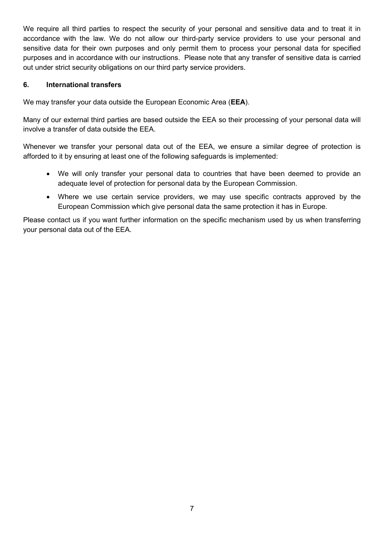We require all third parties to respect the security of your personal and sensitive data and to treat it in accordance with the law. We do not allow our third-party service providers to use your personal and sensitive data for their own purposes and only permit them to process your personal data for specified purposes and in accordance with our instructions. Please note that any transfer of sensitive data is carried out under strict security obligations on our third party service providers.

### 6. International transfers

We may transfer your data outside the European Economic Area (EEA).

Many of our external third parties are based outside the EEA so their processing of your personal data will involve a transfer of data outside the EEA.

Whenever we transfer your personal data out of the EEA, we ensure a similar degree of protection is afforded to it by ensuring at least one of the following safeguards is implemented:

- We will only transfer your personal data to countries that have been deemed to provide an adequate level of protection for personal data by the European Commission.
- Where we use certain service providers, we may use specific contracts approved by the European Commission which give personal data the same protection it has in Europe.

Please contact us if you want further information on the specific mechanism used by us when transferring your personal data out of the EEA.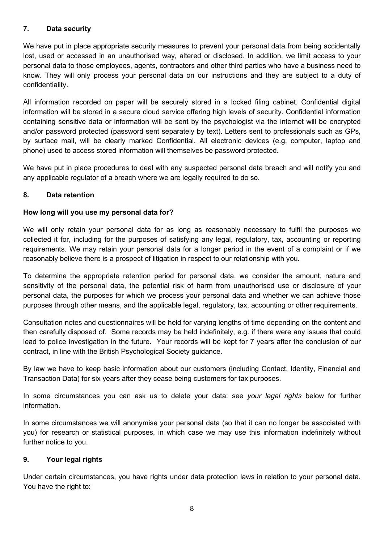# 7. Data security

We have put in place appropriate security measures to prevent your personal data from being accidentally lost, used or accessed in an unauthorised way, altered or disclosed. In addition, we limit access to your personal data to those employees, agents, contractors and other third parties who have a business need to know. They will only process your personal data on our instructions and they are subject to a duty of confidentiality.

All information recorded on paper will be securely stored in a locked filing cabinet. Confidential digital information will be stored in a secure cloud service offering high levels of security. Confidential information containing sensitive data or information will be sent by the psychologist via the internet will be encrypted and/or password protected (password sent separately by text). Letters sent to professionals such as GPs, by surface mail, will be clearly marked Confidential. All electronic devices (e.g. computer, laptop and phone) used to access stored information will themselves be password protected.

We have put in place procedures to deal with any suspected personal data breach and will notify you and any applicable regulator of a breach where we are legally required to do so.

# 8. Data retention

# How long will you use my personal data for?

We will only retain your personal data for as long as reasonably necessary to fulfil the purposes we collected it for, including for the purposes of satisfying any legal, regulatory, tax, accounting or reporting requirements. We may retain your personal data for a longer period in the event of a complaint or if we reasonably believe there is a prospect of litigation in respect to our relationship with you.

To determine the appropriate retention period for personal data, we consider the amount, nature and sensitivity of the personal data, the potential risk of harm from unauthorised use or disclosure of your personal data, the purposes for which we process your personal data and whether we can achieve those purposes through other means, and the applicable legal, regulatory, tax, accounting or other requirements.

Consultation notes and questionnaires will be held for varying lengths of time depending on the content and then carefully disposed of. Some records may be held indefinitely, e.g. if there were any issues that could lead to police investigation in the future. Your records will be kept for 7 years after the conclusion of our contract, in line with the British Psychological Society guidance.

By law we have to keep basic information about our customers (including Contact, Identity, Financial and Transaction Data) for six years after they cease being customers for tax purposes.

In some circumstances you can ask us to delete your data: see your legal rights below for further information.

In some circumstances we will anonymise your personal data (so that it can no longer be associated with you) for research or statistical purposes, in which case we may use this information indefinitely without further notice to you.

# 9. Your legal rights

Under certain circumstances, you have rights under data protection laws in relation to your personal data. You have the right to: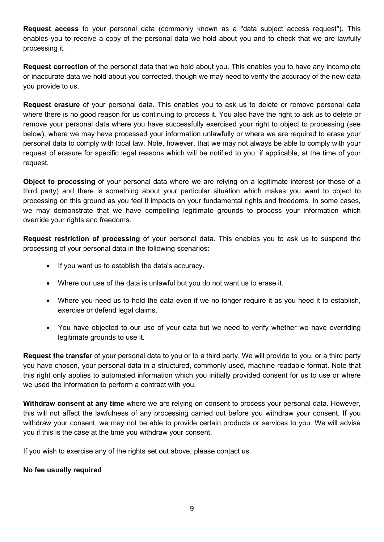Request access to your personal data (commonly known as a "data subject access request"). This enables you to receive a copy of the personal data we hold about you and to check that we are lawfully processing it.

Request correction of the personal data that we hold about you. This enables you to have any incomplete or inaccurate data we hold about you corrected, though we may need to verify the accuracy of the new data you provide to us.

Request erasure of your personal data. This enables you to ask us to delete or remove personal data where there is no good reason for us continuing to process it. You also have the right to ask us to delete or remove your personal data where you have successfully exercised your right to object to processing (see below), where we may have processed your information unlawfully or where we are required to erase your personal data to comply with local law. Note, however, that we may not always be able to comply with your request of erasure for specific legal reasons which will be notified to you, if applicable, at the time of your request.

Object to processing of your personal data where we are relying on a legitimate interest (or those of a third party) and there is something about your particular situation which makes you want to object to processing on this ground as you feel it impacts on your fundamental rights and freedoms. In some cases, we may demonstrate that we have compelling legitimate grounds to process your information which override your rights and freedoms.

Request restriction of processing of your personal data. This enables you to ask us to suspend the processing of your personal data in the following scenarios:

- If you want us to establish the data's accuracy.
- Where our use of the data is unlawful but you do not want us to erase it.
- Where you need us to hold the data even if we no longer require it as you need it to establish, exercise or defend legal claims.
- You have objected to our use of your data but we need to verify whether we have overriding legitimate grounds to use it.

Request the transfer of your personal data to you or to a third party. We will provide to you, or a third party you have chosen, your personal data in a structured, commonly used, machine-readable format. Note that this right only applies to automated information which you initially provided consent for us to use or where we used the information to perform a contract with you.

Withdraw consent at any time where we are relying on consent to process your personal data. However, this will not affect the lawfulness of any processing carried out before you withdraw your consent. If you withdraw your consent, we may not be able to provide certain products or services to you. We will advise you if this is the case at the time you withdraw your consent.

If you wish to exercise any of the rights set out above, please contact us.

# No fee usually required